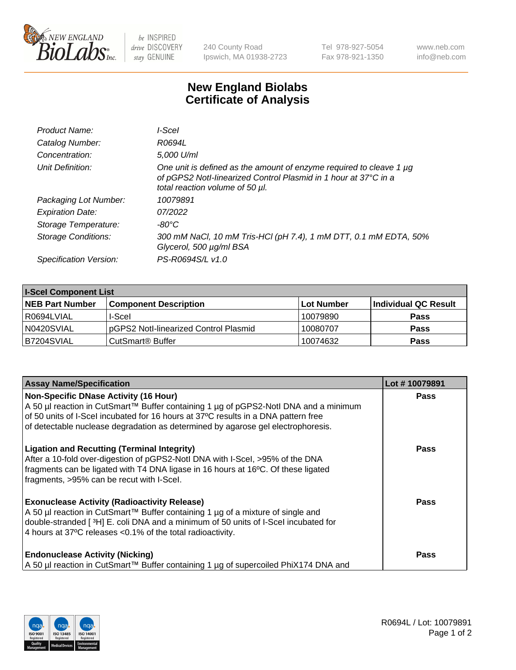

 $be$  INSPIRED drive DISCOVERY stay GENUINE

240 County Road Ipswich, MA 01938-2723 Tel 978-927-5054 Fax 978-921-1350 www.neb.com info@neb.com

## **New England Biolabs Certificate of Analysis**

| Product Name:              | l-Scel                                                                                                                                                                    |
|----------------------------|---------------------------------------------------------------------------------------------------------------------------------------------------------------------------|
| Catalog Number:            | R0694L                                                                                                                                                                    |
| Concentration:             | 5,000 U/ml                                                                                                                                                                |
| Unit Definition:           | One unit is defined as the amount of enzyme required to cleave 1 µg<br>of pGPS2 Notl-linearized Control Plasmid in 1 hour at 37°C in a<br>total reaction volume of 50 µl. |
| Packaging Lot Number:      | 10079891                                                                                                                                                                  |
| <b>Expiration Date:</b>    | 07/2022                                                                                                                                                                   |
| Storage Temperature:       | -80°C                                                                                                                                                                     |
| <b>Storage Conditions:</b> | 300 mM NaCl, 10 mM Tris-HCl (pH 7.4), 1 mM DTT, 0.1 mM EDTA, 50%<br>Glycerol, 500 µg/ml BSA                                                                               |
| Specification Version:     | PS-R0694S/L v1.0                                                                                                                                                          |

| <b>I-Scel Component List</b> |                                        |              |                      |  |
|------------------------------|----------------------------------------|--------------|----------------------|--|
| <b>NEB Part Number</b>       | <b>Component Description</b>           | l Lot Number | Individual QC Result |  |
| R0694LVIAL                   | I-Scel                                 | 10079890     | <b>Pass</b>          |  |
| N0420SVIAL                   | IpGPS2 Notl-linearized Control Plasmid | 10080707     | <b>Pass</b>          |  |
| B7204SVIAL                   | CutSmart <sup>®</sup> Buffer           | 10074632     | <b>Pass</b>          |  |

| <b>Assay Name/Specification</b>                                                                                                                                                                                                                                                             | Lot #10079891 |
|---------------------------------------------------------------------------------------------------------------------------------------------------------------------------------------------------------------------------------------------------------------------------------------------|---------------|
| <b>Non-Specific DNase Activity (16 Hour)</b><br>A 50 µl reaction in CutSmart™ Buffer containing 1 µg of pGPS2-Notl DNA and a minimum                                                                                                                                                        | <b>Pass</b>   |
| of 50 units of I-Scel incubated for 16 hours at 37°C results in a DNA pattern free                                                                                                                                                                                                          |               |
| of detectable nuclease degradation as determined by agarose gel electrophoresis.                                                                                                                                                                                                            |               |
| <b>Ligation and Recutting (Terminal Integrity)</b><br>After a 10-fold over-digestion of pGPS2-Notl DNA with I-Scel, >95% of the DNA<br>fragments can be ligated with T4 DNA ligase in 16 hours at 16°C. Of these ligated<br>fragments, >95% can be recut with I-Scel.                       | <b>Pass</b>   |
| <b>Exonuclease Activity (Radioactivity Release)</b><br>A 50 µl reaction in CutSmart™ Buffer containing 1 µg of a mixture of single and<br>double-stranded [3H] E. coli DNA and a minimum of 50 units of I-Scel incubated for<br>4 hours at 37°C releases < 0.1% of the total radioactivity. | <b>Pass</b>   |
| <b>Endonuclease Activity (Nicking)</b><br>  A 50 µl reaction in CutSmart™ Buffer containing 1 µg of supercoiled PhiX174 DNA and                                                                                                                                                             | Pass          |